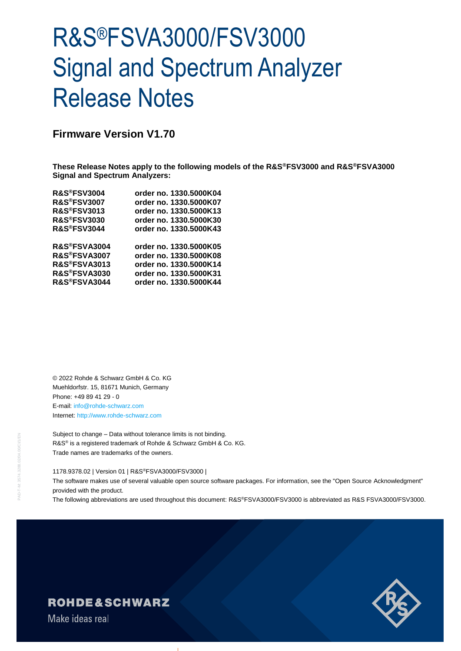# R&S®FSVA3000/FSV3000 Signal and Spectrum Analyzer Release Notes

**Firmware Version V1.70**

**These Release Notes apply to the following models of the R&S®FSV3000 and R&S®FSVA3000 Signal and Spectrum Analyzers:**

| R&S®FSV3004             | order no. 1330.5000K04 |
|-------------------------|------------------------|
| <b>R&amp;S®FSV3007</b>  | order no. 1330.5000K07 |
| <b>R&amp;S®FSV3013</b>  | order no. 1330.5000K13 |
| <b>R&amp;S®FSV3030</b>  | order no. 1330.5000K30 |
| <b>R&amp;S®FSV3044</b>  | order no. 1330.5000K43 |
| R&S®FSVA3004            | order no. 1330.5000K05 |
| R&S®FSVA3007            | order no. 1330.5000K08 |
| <b>R&amp;S®FSVA3013</b> | order no. 1330.5000K14 |
| <b>R&amp;S®FSVA3030</b> | order no. 1330.5000K31 |
| R&S®FSVA3044            | order no. 1330.5000K44 |
|                         |                        |

© 2022 Rohde & Schwarz GmbH & Co. KG Muehldorfstr. 15, 81671 Munich, Germany Phone: +49 89 41 29 - 0 E-mail: [info@rohde-schwarz.com](mailto:info@rohde-schwarz.com) Internet[: http://www.rohde-schwarz.com](http://www.rohde-schwarz.com/)

Subject to change – Data without tolerance limits is not binding. R&S<sup>®</sup> is a registered trademark of Rohde & Schwarz GmbH & Co. KG. Trade names are trademarks of the owners.

#### 1178.9378.02 | Version 01 | R&S®FSVA3000/FSV3000 |

The software makes use of several valuable open source software packages. For information, see the "Open Source Acknowledgment" provided with the product.

The following abbreviations are used throughout this document: R&S®FSVA3000/FSV3000 is abbreviated as R&S FSVA3000/FSV3000.



## **ROHDE&SCHWARZ**

Make ideas real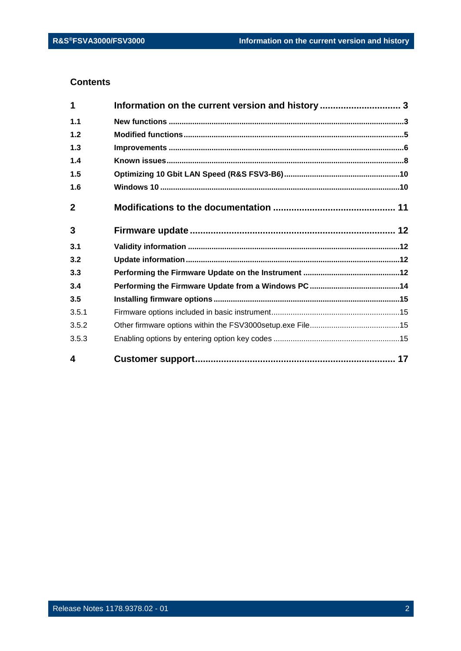### **Contents**

| 1            | Information on the current version and history  3 |  |
|--------------|---------------------------------------------------|--|
| 1.1          |                                                   |  |
| 1.2          |                                                   |  |
| 1.3          |                                                   |  |
| 1.4          |                                                   |  |
| 1.5          |                                                   |  |
| 1.6          |                                                   |  |
| $\mathbf{2}$ |                                                   |  |
| 3            |                                                   |  |
| 3.1          |                                                   |  |
| 3.2          |                                                   |  |
| 3.3          |                                                   |  |
| 3.4          |                                                   |  |
| 3.5          |                                                   |  |
| 3.5.1        |                                                   |  |
| 3.5.2        |                                                   |  |
| 3.5.3        |                                                   |  |
| 4            |                                                   |  |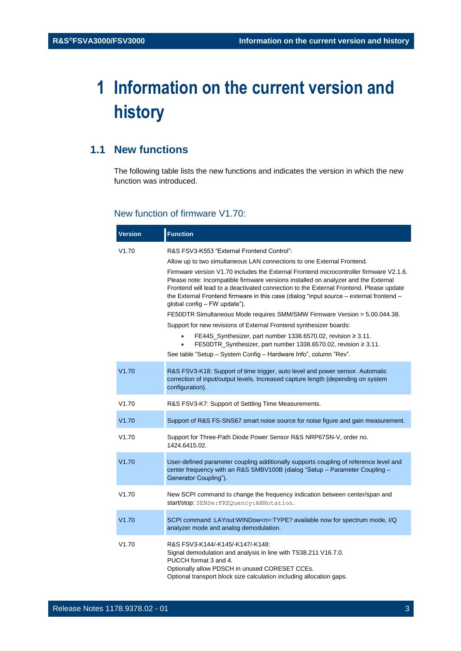## <span id="page-2-0"></span>**1 Information on the current version and history**

## <span id="page-2-1"></span>**1.1 New functions**

The following table lists the new functions and indicates the version in which the new function was introduced.

#### New function of firmware V1.70:

| <b>Version</b> | <b>Function</b>                                                                                                                                                                                                                                                                                                                                                                                                                                                                                                                                                                                                                                                                                                                                |
|----------------|------------------------------------------------------------------------------------------------------------------------------------------------------------------------------------------------------------------------------------------------------------------------------------------------------------------------------------------------------------------------------------------------------------------------------------------------------------------------------------------------------------------------------------------------------------------------------------------------------------------------------------------------------------------------------------------------------------------------------------------------|
| V1.70          | R&S FSV3-K553 "External Frontend Control":<br>Allow up to two simultaneous LAN connections to one External Frontend.<br>Firmware version V1.70 includes the External Frontend microcontroller firmware V2.1.6.<br>Please note: Incompatible firmware versions installed on analyzer and the External<br>Frontend will lead to a deactivated connection to the External Frontend. Please update<br>the External Frontend firmware in this case (dialog "input source - external frontend -<br>global config - FW update").<br>FE50DTR Simultaneous Mode requires SMM/SMW Firmware Version > 5.00.044.38.<br>Support for new revisions of External Frontend synthesizer boards:<br>FE44S_Synthesizer, part number 1338.6570.02, revision ≥ 3.11. |
|                | FE50DTR_Synthesizer, part number 1338.6570.02, revision ≥ 3.11.<br>See table "Setup - System Config - Hardware Info", column "Rev".                                                                                                                                                                                                                                                                                                                                                                                                                                                                                                                                                                                                            |
| V1.70          | R&S FSV3-K18: Support of time trigger, auto level and power sensor. Automatic<br>correction of input/output levels. Increased capture length (depending on system<br>configuration).                                                                                                                                                                                                                                                                                                                                                                                                                                                                                                                                                           |
| V1.70          | R&S FSV3-K7: Support of Settling Time Measurements.                                                                                                                                                                                                                                                                                                                                                                                                                                                                                                                                                                                                                                                                                            |
| V1.70          | Support of R&S FS-SNS67 smart noise source for noise figure and gain measurement.                                                                                                                                                                                                                                                                                                                                                                                                                                                                                                                                                                                                                                                              |
| V1.70          | Support for Three-Path Diode Power Sensor R&S NRP67SN-V, order no.<br>1424.6415.02.                                                                                                                                                                                                                                                                                                                                                                                                                                                                                                                                                                                                                                                            |
| V1.70          | User-defined parameter coupling additionally supports coupling of reference level and<br>center frequency with an R&S SMBV100B (dialog "Setup - Parameter Coupling -<br>Generator Coupling").                                                                                                                                                                                                                                                                                                                                                                                                                                                                                                                                                  |
| V1.70          | New SCPI command to change the frequency indication between center/span and<br>start/stop: SENSe: FREQuency: ANNotation.                                                                                                                                                                                                                                                                                                                                                                                                                                                                                                                                                                                                                       |
| V1.70          | SCPI command :LAYout:WINDow <n>:TYPE? available now for spectrum mode, I/Q<br/>analyzer mode and analog demodulation.</n>                                                                                                                                                                                                                                                                                                                                                                                                                                                                                                                                                                                                                      |
| V1.70          | R&S FSV3-K144/-K145/-K147/-K148:<br>Signal demodulation and analysis in line with TS38.211 V16.7.0.<br>PUCCH format 3 and 4.<br>Optionally allow PDSCH in unused CORESET CCEs.<br>Optional transport block size calculation including allocation gaps.                                                                                                                                                                                                                                                                                                                                                                                                                                                                                         |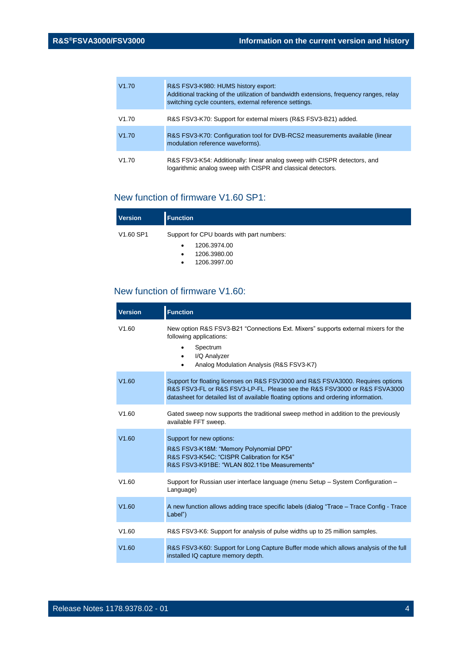| V1.70 | R&S FSV3-K980: HUMS history export:<br>Additional tracking of the utilization of bandwidth extensions, frequency ranges, relay<br>switching cycle counters, external reference settings. |
|-------|------------------------------------------------------------------------------------------------------------------------------------------------------------------------------------------|
| V1.70 | R&S FSV3-K70: Support for external mixers (R&S FSV3-B21) added.                                                                                                                          |
| V1.70 | R&S FSV3-K70: Configuration tool for DVB-RCS2 measurements available (linear<br>modulation reference waveforms).                                                                         |
| V1.70 | R&S FSV3-K54: Additionally: linear analog sweep with CISPR detectors, and<br>logarithmic analog sweep with CISPR and classical detectors.                                                |

## New function of firmware V1.60 SP1:

| <b>Version</b>                    | <b>Function</b>                           |
|-----------------------------------|-------------------------------------------|
| V <sub>1.60</sub> SP <sub>1</sub> | Support for CPU boards with part numbers: |
|                                   | 1206.3974.00<br>$\bullet$                 |
|                                   | 1206.3980.00<br>$\bullet$                 |
|                                   | 1206.3997.00<br>٠                         |

#### New function of firmware V1.60:

| <b>Version</b> | <b>Function</b>                                                                                                                                                                                                                                     |
|----------------|-----------------------------------------------------------------------------------------------------------------------------------------------------------------------------------------------------------------------------------------------------|
| V1.60          | New option R&S FSV3-B21 "Connections Ext. Mixers" supports external mixers for the<br>following applications:<br>Spectrum<br>٠<br>I/Q Analyzer<br>$\bullet$<br>Analog Modulation Analysis (R&S FSV3-K7)<br>$\bullet$                                |
| V1.60          | Support for floating licenses on R&S FSV3000 and R&S FSVA3000. Requires options<br>R&S FSV3-FL or R&S FSV3-LP-FL. Please see the R&S FSV3000 or R&S FSVA3000<br>datasheet for detailed list of available floating options and ordering information. |
| V1.60          | Gated sweep now supports the traditional sweep method in addition to the previously<br>available FFT sweep.                                                                                                                                         |
| V1.60          | Support for new options:<br>R&S FSV3-K18M: "Memory Polynomial DPD"<br>R&S FSV3-K54C: "CISPR Calibration for K54"<br>R&S FSV3-K91BE: "WLAN 802.11be Measurements"                                                                                    |
| V1.60          | Support for Russian user interface language (menu Setup - System Configuration -<br>Language)                                                                                                                                                       |
| V1.60          | A new function allows adding trace specific labels (dialog "Trace - Trace Config - Trace<br>Label")                                                                                                                                                 |
| V1.60          | R&S FSV3-K6: Support for analysis of pulse widths up to 25 million samples.                                                                                                                                                                         |
| V1.60          | R&S FSV3-K60: Support for Long Capture Buffer mode which allows analysis of the full<br>installed IQ capture memory depth.                                                                                                                          |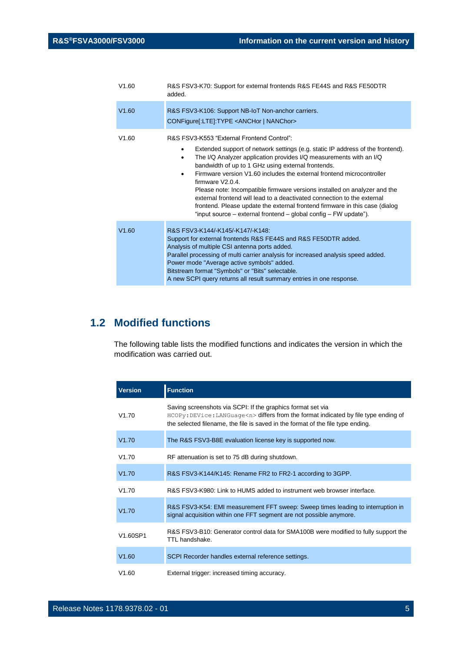| V1.60 | R&S FSV3-K70: Support for external frontends R&S FE44S and R&S FE50DTR<br>added.                                                                                                                                                                                                                                                                                                                                                                                                                                                                                                                                                                                                                         |
|-------|----------------------------------------------------------------------------------------------------------------------------------------------------------------------------------------------------------------------------------------------------------------------------------------------------------------------------------------------------------------------------------------------------------------------------------------------------------------------------------------------------------------------------------------------------------------------------------------------------------------------------------------------------------------------------------------------------------|
| V1.60 | R&S FSV3-K106: Support NB-IoT Non-anchor carriers.<br>CONFigure[:LTE]:TYPE <anchor nanchor=""  =""></anchor>                                                                                                                                                                                                                                                                                                                                                                                                                                                                                                                                                                                             |
| V1.60 | R&S FSV3-K553 "External Frontend Control":<br>Extended support of network settings (e.g. static IP address of the frontend).<br>$\bullet$<br>The I/Q Analyzer application provides I/Q measurements with an I/Q<br>$\bullet$<br>bandwidth of up to 1 GHz using external frontends.<br>Firmware version V1.60 includes the external frontend microcontroller<br>$\bullet$<br>firmware $V2.0.4$<br>Please note: Incompatible firmware versions installed on analyzer and the<br>external frontend will lead to a deactivated connection to the external<br>frontend. Please update the external frontend firmware in this case (dialog<br>"input source – external frontend – global config – FW update"). |
| V1.60 | R&S FSV3-K144/-K145/-K147/-K148:<br>Support for external frontends R&S FE44S and R&S FE50DTR added.<br>Analysis of multiple CSI antenna ports added.<br>Parallel processing of multi carrier analysis for increased analysis speed added.<br>Power mode "Average active symbols" added.<br>Bitstream format "Symbols" or "Bits" selectable.<br>A new SCPI query returns all result summary entries in one response.                                                                                                                                                                                                                                                                                      |

## <span id="page-4-0"></span>**1.2 Modified functions**

The following table lists the modified functions and indicates the version in which the modification was carried out.

| <b>Version</b>                    | <b>Function</b>                                                                                                                                                                                                                          |
|-----------------------------------|------------------------------------------------------------------------------------------------------------------------------------------------------------------------------------------------------------------------------------------|
| V1.70                             | Saving screenshots via SCPI: If the graphics format set via<br>$HCOPy: DEVice: LANGuaqe 0 > differs from the format indicated by file type ending of$<br>the selected filename, the file is saved in the format of the file type ending. |
| V1.70                             | The R&S FSV3-B8E evaluation license key is supported now.                                                                                                                                                                                |
| V1.70                             | RF attenuation is set to 75 dB during shutdown.                                                                                                                                                                                          |
| V1.70                             | R&S FSV3-K144/K145: Rename FR2 to FR2-1 according to 3GPP.                                                                                                                                                                               |
| V1.70                             | R&S FSV3-K980: Link to HUMS added to instrument web browser interface.                                                                                                                                                                   |
| V1.70                             | R&S FSV3-K54: EMI measurement FFT sweep: Sweep times leading to interruption in<br>signal acquisition within one FFT segment are not possible anymore.                                                                                   |
| V <sub>1.60</sub> SP <sub>1</sub> | R&S FSV3-B10: Generator control data for SMA100B were modified to fully support the<br>TTL handshake.                                                                                                                                    |
| V1.60                             | SCPI Recorder handles external reference settings.                                                                                                                                                                                       |
| V1.60                             | External trigger: increased timing accuracy.                                                                                                                                                                                             |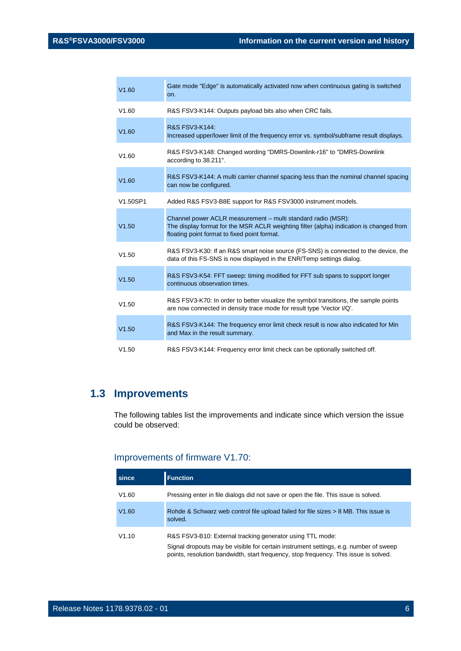| V1.60    | Gate mode "Edge" is automatically activated now when continuous gating is switched<br>on.                                                                                                               |
|----------|---------------------------------------------------------------------------------------------------------------------------------------------------------------------------------------------------------|
| V1.60    | R&S FSV3-K144: Outputs payload bits also when CRC fails.                                                                                                                                                |
| V1.60    | R&S FSV3-K144:<br>Increased upper/lower limit of the frequency error vs. symbol/subframe result displays.                                                                                               |
| V1.60    | R&S FSV3-K148: Changed wording "DMRS-Downlink-r16" to "DMRS-Downlink<br>according to 38.211".                                                                                                           |
| V1.60    | R&S FSV3-K144: A multi carrier channel spacing less than the nominal channel spacing<br>can now be configured.                                                                                          |
| V1.50SP1 | Added R&S FSV3-B8E support for R&S FSV3000 instrument models.                                                                                                                                           |
| V1.50    | Channel power ACLR measurement - multi standard radio (MSR):<br>The display format for the MSR ACLR weighting filter (alpha) indication is changed from<br>floating point format to fixed point format. |
| V1.50    | R&S FSV3-K30: If an R&S smart noise source (FS-SNS) is connected to the device, the<br>data of this FS-SNS is now displayed in the ENR/Temp settings dialog.                                            |
| V1.50    | R&S FSV3-K54: FFT sweep: timing modified for FFT sub spans to support longer<br>continuous observation times.                                                                                           |
| V1.50    | R&S FSV3-K70: In order to better visualize the symbol transitions, the sample points<br>are now connected in density trace mode for result type 'Vector I/Q'.                                           |
| V1.50    | R&S FSV3-K144: The frequency error limit check result is now also indicated for Min<br>and Max in the result summary.                                                                                   |
| V1.50    | R&S FSV3-K144: Frequency error limit check can be optionally switched off.                                                                                                                              |

## <span id="page-5-0"></span>**1.3 Improvements**

The following tables list the improvements and indicate since which version the issue could be observed:

### Improvements of firmware V1.70:

| since | <b>Function</b>                                                                                                                                                                                                                           |
|-------|-------------------------------------------------------------------------------------------------------------------------------------------------------------------------------------------------------------------------------------------|
| V1.60 | Pressing enter in file dialogs did not save or open the file. This issue is solved.                                                                                                                                                       |
| V1.60 | Rohde & Schwarz web control file upload failed for file sizes > 8 MB. This issue is<br>solved.                                                                                                                                            |
| V1.10 | R&S FSV3-B10: External tracking generator using TTL mode:<br>Signal dropouts may be visible for certain instrument settings, e.g. number of sweep<br>points, resolution bandwidth, start frequency, stop frequency. This issue is solved. |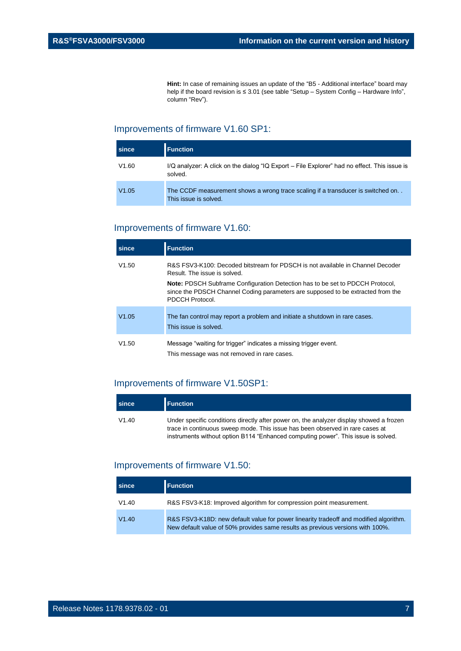**Hint:** In case of remaining issues an update of the "B5 - Additional interface" board may help if the board revision is ≤ 3.01 (see table "Setup – System Config – Hardware Info", column "Rev").

#### Improvements of firmware V1.60 SP1:

| since | <b>Function</b>                                                                                          |
|-------|----------------------------------------------------------------------------------------------------------|
| V1.60 | I/Q analyzer: A click on the dialog "IQ Export – File Explorer" had no effect. This issue is<br>solved.  |
| V1.05 | The CCDF measurement shows a wrong trace scaling if a transducer is switched on<br>This issue is solved. |

#### Improvements of firmware V1.60:

| since | <b>Function</b>                                                                                                                                                                            |
|-------|--------------------------------------------------------------------------------------------------------------------------------------------------------------------------------------------|
| V1.50 | R&S FSV3-K100: Decoded bitstream for PDSCH is not available in Channel Decoder<br>Result. The issue is solved.                                                                             |
|       | <b>Note:</b> PDSCH Subframe Configuration Detection has to be set to PDCCH Protocol,<br>since the PDSCH Channel Coding parameters are supposed to be extracted from the<br>PDCCH Protocol. |
| V1.05 | The fan control may report a problem and initiate a shutdown in rare cases.<br>This issue is solved.                                                                                       |
| V1.50 | Message "waiting for trigger" indicates a missing trigger event.<br>This message was not removed in rare cases.                                                                            |

#### Improvements of firmware V1.50SP1:

| <b>since</b> | <b>Function</b>                                                                                                                                                                                                                                               |
|--------------|---------------------------------------------------------------------------------------------------------------------------------------------------------------------------------------------------------------------------------------------------------------|
| V1.40        | Under specific conditions directly after power on, the analyzer display showed a frozen<br>trace in continuous sweep mode. This issue has been observed in rare cases at<br>instruments without option B114 "Enhanced computing power". This issue is solved. |

#### Improvements of firmware V1.50:

| since | <b>Function</b>                                                                                                                                                         |
|-------|-------------------------------------------------------------------------------------------------------------------------------------------------------------------------|
| V1.40 | R&S FSV3-K18: Improved algorithm for compression point measurement.                                                                                                     |
| V1.40 | R&S FSV3-K18D: new default value for power linearity tradeoff and modified algorithm.<br>New default value of 50% provides same results as previous versions with 100%. |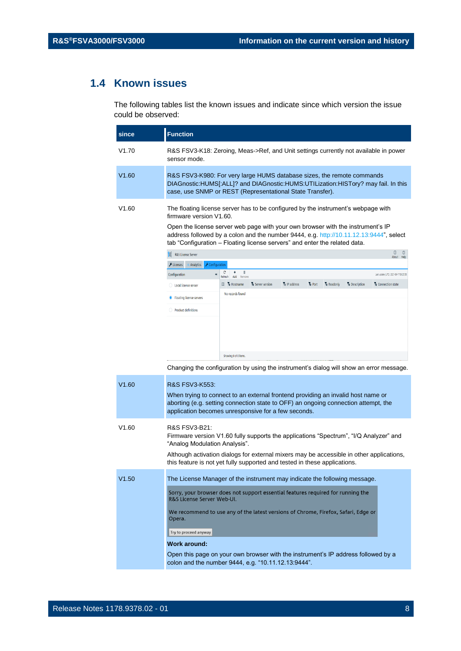## <span id="page-7-0"></span>**1.4 Known issues**

The following tables list the known issues and indicate since which version the issue could be observed:

| since | <b>Function</b>                                                                                                                                                                                                                                                                                                                                                                                                                                                                                                                                                                      |                                                                                                                                                                                                                               |                   |                 |           |                         |                |                                                                                  |
|-------|--------------------------------------------------------------------------------------------------------------------------------------------------------------------------------------------------------------------------------------------------------------------------------------------------------------------------------------------------------------------------------------------------------------------------------------------------------------------------------------------------------------------------------------------------------------------------------------|-------------------------------------------------------------------------------------------------------------------------------------------------------------------------------------------------------------------------------|-------------------|-----------------|-----------|-------------------------|----------------|----------------------------------------------------------------------------------|
| V1.70 | sensor mode.                                                                                                                                                                                                                                                                                                                                                                                                                                                                                                                                                                         | R&S FSV3-K18: Zeroing, Meas->Ref, and Unit settings currently not available in power                                                                                                                                          |                   |                 |           |                         |                |                                                                                  |
| V1.60 |                                                                                                                                                                                                                                                                                                                                                                                                                                                                                                                                                                                      | R&S FSV3-K980: For very large HUMS database sizes, the remote commands<br>DIAGnostic: HUMS[: ALL]? and DIAGnostic: HUMS: UTILization: HISTory? may fail. In this<br>case, use SNMP or REST (Representational State Transfer). |                   |                 |           |                         |                |                                                                                  |
| V1.60 | The floating license server has to be configured by the instrument's webpage with<br>firmware version V1.60.<br>Open the license server web page with your own browser with the instrument's IP<br>address followed by a colon and the number 9444, e.g. http://10.11.12.13:9444", select<br>tab "Configuration – Floating license servers" and enter the related data.<br><b>R&amp;S License Server</b><br>Licenses<br>Analytics<br>$\blacktriangleright$ Configuration<br>Configuration<br><b>O</b> Local license server<br>Floating license servers<br><b>Product definitions</b> | c<br>î<br>$\ddot{}$<br>Add<br>Remove<br>Refresh<br><b>III</b> Te Hostname<br>No records found                                                                                                                                 | Te Server version | $\P$ IP address | $T4$ Port | T <sub>#</sub> Readonly | To Description | ⊙<br>About Help<br>Last update (UTC): 2021-09-17 09:25:58<br>Te Connection state |
|       |                                                                                                                                                                                                                                                                                                                                                                                                                                                                                                                                                                                      | Showing 0 of 0 items.                                                                                                                                                                                                         |                   |                 |           |                         |                |                                                                                  |

Changing the configuration by using the instrument's dialog will show an error message.

| V1.60 | <b>R&amp;S FSV3-K553:</b><br>When trying to connect to an external frontend providing an invalid host name or<br>aborting (e.g. setting connection state to OFF) an ongoing connection attempt, the<br>application becomes unresponsive for a few seconds.                                                                                                                                                                                                                              |
|-------|-----------------------------------------------------------------------------------------------------------------------------------------------------------------------------------------------------------------------------------------------------------------------------------------------------------------------------------------------------------------------------------------------------------------------------------------------------------------------------------------|
| V1.60 | <b>R&amp;S FSV3-B21:</b><br>Firmware version V1.60 fully supports the applications "Spectrum", "I/Q Analyzer" and<br>"Analog Modulation Analysis".<br>Although activation dialogs for external mixers may be accessible in other applications,<br>this feature is not yet fully supported and tested in these applications.                                                                                                                                                             |
| V1.50 | The License Manager of the instrument may indicate the following message.<br>Sorry, your browser does not support essential features required for running the<br>R&S License Server Web-UI.<br>We recommend to use any of the latest versions of Chrome, Firefox, Safari, Edge or<br>Opera.<br>Try to proceed anyway<br><b>Work around:</b><br>Open this page on your own browser with the instrument's IP address followed by a<br>colon and the number 9444, e.g. "10.11.12.13:9444". |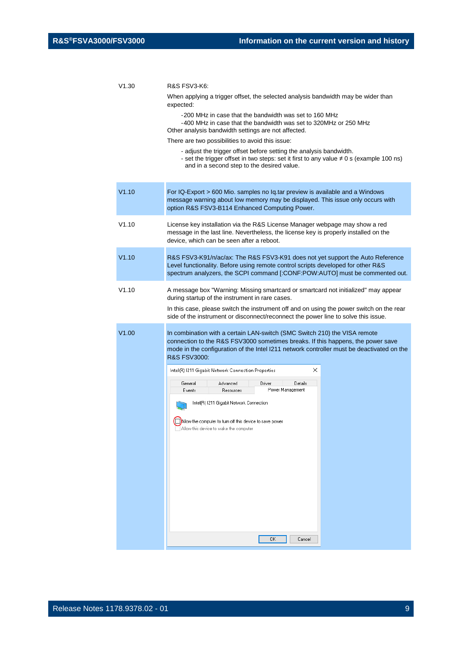| V1.30 | <b>R&amp;S FSV3-K6:</b>                                                                                                                                                                                                                                                                                                 |
|-------|-------------------------------------------------------------------------------------------------------------------------------------------------------------------------------------------------------------------------------------------------------------------------------------------------------------------------|
|       | When applying a trigger offset, the selected analysis bandwidth may be wider than<br>expected:                                                                                                                                                                                                                          |
|       | -200 MHz in case that the bandwidth was set to 160 MHz<br>-400 MHz in case that the bandwidth was set to 320MHz or 250 MHz<br>Other analysis bandwidth settings are not affected.                                                                                                                                       |
|       | There are two possibilities to avoid this issue:                                                                                                                                                                                                                                                                        |
|       | - adjust the trigger offset before setting the analysis bandwidth.<br>- set the trigger offset in two steps: set it first to any value $\neq 0$ s (example 100 ns)<br>and in a second step to the desired value.                                                                                                        |
| V1.10 | For IQ-Export > 600 Mio. samples no Iq.tar preview is available and a Windows<br>message warning about low memory may be displayed. This issue only occurs with<br>option R&S FSV3-B114 Enhanced Computing Power.                                                                                                       |
| V1.10 | License key installation via the R&S License Manager webpage may show a red<br>message in the last line. Nevertheless, the license key is properly installed on the<br>device, which can be seen after a reboot.                                                                                                        |
| V1.10 | R&S FSV3-K91/n/ac/ax: The R&S FSV3-K91 does not yet support the Auto Reference<br>Level functionality. Before using remote control scripts developed for other R&S<br>spectrum analyzers, the SCPI command [:CONF:POW:AUTO] must be commented out.                                                                      |
| V1.10 | A message box "Warning: Missing smartcard or smartcard not initialized" may appear<br>during startup of the instrument in rare cases.<br>In this case, please switch the instrument off and on using the power switch on the rear<br>side of the instrument or disconnect/reconnect the power line to solve this issue. |
| V1.00 | In combination with a certain LAN-switch (SMC Switch 210) the VISA remote<br>connection to the R&S FSV3000 sometimes breaks. If this happens, the power save<br>mode in the configuration of the Intel I211 network controller must be deactivated on the<br><b>R&amp;S FSV3000:</b>                                    |
|       | Intel(R) 1211 Gigabit Network Connection Properties<br>×<br>Driver<br>Details<br>General<br>Advanced                                                                                                                                                                                                                    |
|       | Power Management<br>Events<br>Resources<br>Intel(R) 1211 Gigabit Network Connection                                                                                                                                                                                                                                     |
|       | Allow the computer to turn off this device to save power<br>Allow this device to wake the computer                                                                                                                                                                                                                      |
|       | OK.<br>Cancel                                                                                                                                                                                                                                                                                                           |

r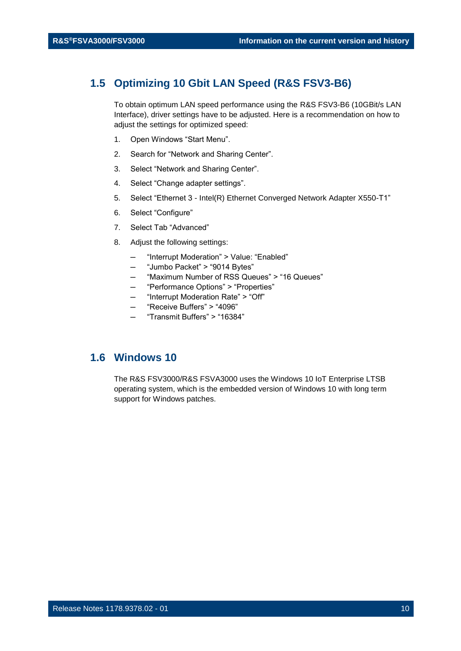### <span id="page-9-0"></span>**1.5 Optimizing 10 Gbit LAN Speed (R&S FSV3-B6)**

To obtain optimum LAN speed performance using the R&S FSV3-B6 (10GBit/s LAN Interface), driver settings have to be adjusted. Here is a recommendation on how to adjust the settings for optimized speed:

- 1. Open Windows "Start Menu".
- 2. Search for "Network and Sharing Center".
- 3. Select "Network and Sharing Center".
- 4. Select "Change adapter settings".
- 5. Select "Ethernet 3 Intel(R) Ethernet Converged Network Adapter X550-T1"
- 6. Select "Configure"
- 7. Select Tab "Advanced"
- 8. Adjust the following settings:
	- ─ "Interrupt Moderation" > Value: "Enabled"
	- ─ "Jumbo Packet" > "9014 Bytes"
	- ─ "Maximum Number of RSS Queues" > "16 Queues"
	- ─ "Performance Options" > "Properties"
	- ─ "Interrupt Moderation Rate" > "Off"
	- ─ "Receive Buffers" > "4096"
	- ─ "Transmit Buffers" > "16384"

## <span id="page-9-1"></span>**1.6 Windows 10**

The R&S FSV3000/R&S FSVA3000 uses the Windows 10 IoT Enterprise LTSB operating system, which is the embedded version of Windows 10 with long term support for Windows patches.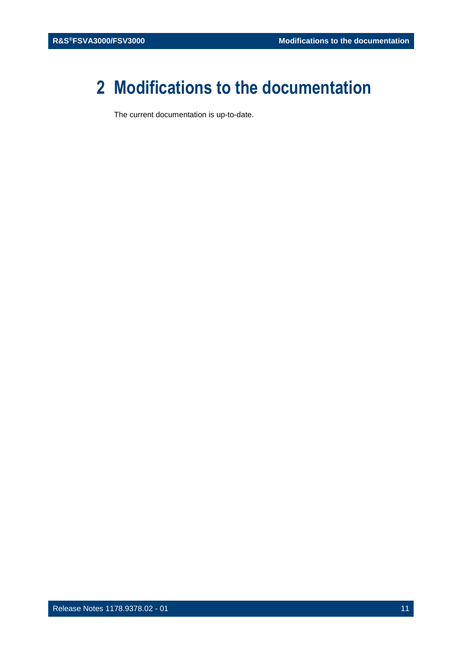## <span id="page-10-0"></span>**2 Modifications to the documentation**

The current documentation is up-to-date.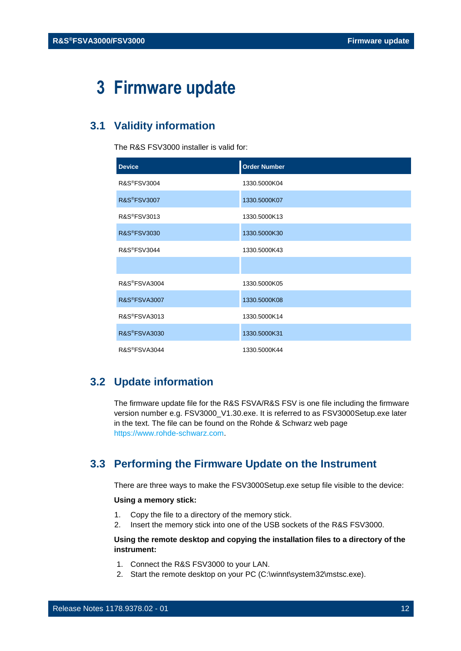## <span id="page-11-0"></span>**3 Firmware update**

## <span id="page-11-1"></span>**3.1 Validity information**

The R&S FSV3000 installer is valid for:

| <b>Device</b>            | <b>Order Number</b> |
|--------------------------|---------------------|
| R&S®FSV3004              | 1330.5000K04        |
| <b>R&amp;S®FSV3007</b>   | 1330.5000K07        |
| R&S <sup>®</sup> FSV3013 | 1330.5000K13        |
| <b>R&amp;S®FSV3030</b>   | 1330.5000K30        |
| R&S <sup>®</sup> FSV3044 | 1330.5000K43        |
|                          |                     |
| R&S®FSVA3004             | 1330.5000K05        |
| R&S®FSVA3007             | 1330.5000K08        |
| R&S®FSVA3013             | 1330.5000K14        |
| <b>R&amp;S®FSVA3030</b>  | 1330.5000K31        |
| R&S®FSVA3044             | 1330.5000K44        |

## <span id="page-11-2"></span>**3.2 Update information**

The firmware update file for the R&S FSVA/R&S FSV is one file including the firmware version number e.g. FSV3000\_V1.30.exe. It is referred to as FSV3000Setup.exe later in the text. The file can be found on the Rohde & Schwarz web page [https://www.rohde-schwarz.com.](https://www.rohde-schwarz.com/)

### <span id="page-11-3"></span>**3.3 Performing the Firmware Update on the Instrument**

There are three ways to make the FSV3000Setup.exe setup file visible to the device:

#### **Using a memory stick:**

- 1. Copy the file to a directory of the memory stick.
- 2. Insert the memory stick into one of the USB sockets of the R&S FSV3000.

#### **Using the remote desktop and copying the installation files to a directory of the instrument:**

- 1. Connect the R&S FSV3000 to your LAN.
- 2. Start the remote desktop on your PC (C:\winnt\system32\mstsc.exe).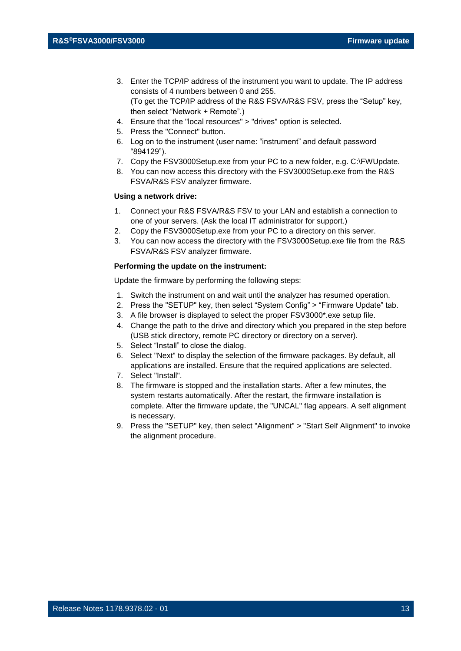- 3. Enter the TCP/IP address of the instrument you want to update. The IP address consists of 4 numbers between 0 and 255. (To get the TCP/IP address of the R&S FSVA/R&S FSV, press the "Setup" key, then select "Network + Remote".)
- 4. Ensure that the "local resources" > "drives" option is selected.
- 5. Press the "Connect" button.
- 6. Log on to the instrument (user name: "instrument" and default password "894129").
- 7. Copy the FSV3000Setup.exe from your PC to a new folder, e.g. C:\FWUpdate.
- 8. You can now access this directory with the FSV3000Setup.exe from the R&S FSVA/R&S FSV analyzer firmware.

#### **Using a network drive:**

- 1. Connect your R&S FSVA/R&S FSV to your LAN and establish a connection to one of your servers. (Ask the local IT administrator for support.)
- 2. Copy the FSV3000Setup.exe from your PC to a directory on this server.
- 3. You can now access the directory with the FSV3000Setup.exe file from the R&S FSVA/R&S FSV analyzer firmware.

#### **Performing the update on the instrument:**

Update the firmware by performing the following steps:

- 1. Switch the instrument on and wait until the analyzer has resumed operation.
- 2. Press the "SETUP" key, then select "System Config" > "Firmware Update" tab.
- 3. A file browser is displayed to select the proper FSV3000\*.exe setup file.
- 4. Change the path to the drive and directory which you prepared in the step before (USB stick directory, remote PC directory or directory on a server).
- 5. Select "Install" to close the dialog.
- 6. Select "Next" to display the selection of the firmware packages. By default, all applications are installed. Ensure that the required applications are selected.
- 7. Select "Install".
- 8. The firmware is stopped and the installation starts. After a few minutes, the system restarts automatically. After the restart, the firmware installation is complete. After the firmware update, the "UNCAL" flag appears. A self alignment is necessary.
- 9. Press the "SETUP" key, then select "Alignment" > "Start Self Alignment" to invoke the alignment procedure.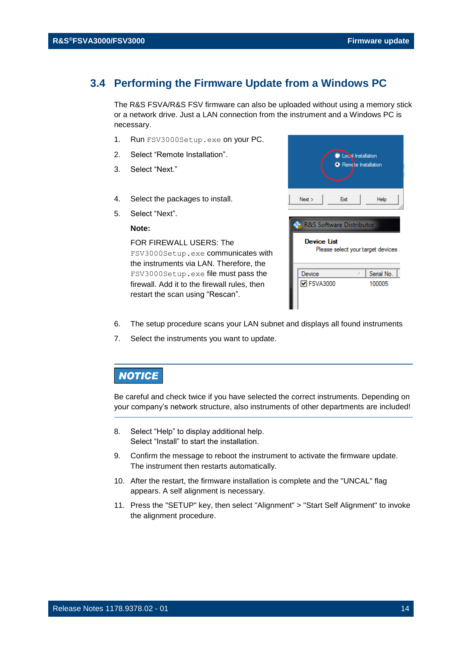### <span id="page-13-0"></span>**3.4 Performing the Firmware Update from a Windows PC**

The R&S FSVA/R&S FSV firmware can also be uploaded without using a memory stick or a network drive. Just a LAN connection from the instrument and a Windows PC is necessary.

- 1. Run FSV3000Setup.exe on your PC.
- 2. Select "Remote Installation".
- 3. Select "Next."
- 4. Select the packages to install.
- 5. Select "Next".

#### **Note:**

FOR FIREWALL USERS: The FSV3000Setup.exe communicates with the instruments via LAN. Therefore, the FSV3000Setup.exe file must pass the firewall. Add it to the firewall rules, then restart the scan using "Rescan".



- 6. The setup procedure scans your LAN subnet and displays all found instruments
- 7. Select the instruments you want to update.

#### **NOTICE**

Be careful and check twice if you have selected the correct instruments. Depending on your company's network structure, also instruments of other departments are included!

- 8. Select "Help" to display additional help. Select "Install" to start the installation.
- 9. Confirm the message to reboot the instrument to activate the firmware update. The instrument then restarts automatically.
- 10. After the restart, the firmware installation is complete and the "UNCAL" flag appears. A self alignment is necessary.
- 11. Press the "SETUP" key, then select "Alignment" > "Start Self Alignment" to invoke the alignment procedure.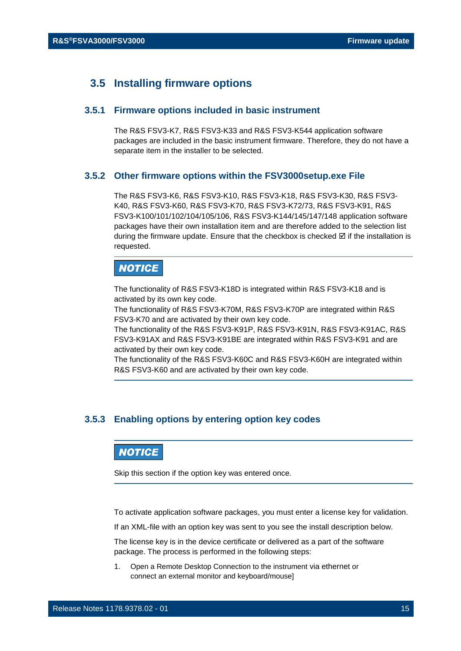### <span id="page-14-0"></span>**3.5 Installing firmware options**

#### **3.5.1 Firmware options included in basic instrument**

<span id="page-14-1"></span>The R&S FSV3-K7, R&S FSV3-K33 and R&S FSV3-K544 application software packages are included in the basic instrument firmware. Therefore, they do not have a separate item in the installer to be selected.

#### <span id="page-14-2"></span>**3.5.2 Other firmware options within the FSV3000setup.exe File**

The R&S FSV3-K6, R&S FSV3-K10, R&S FSV3-K18, R&S FSV3-K30, R&S FSV3- K40, R&S FSV3-K60, R&S FSV3-K70, R&S FSV3-K72/73, R&S FSV3-K91, R&S FSV3-K100/101/102/104/105/106, R&S FSV3-K144/145/147/148 application software packages have their own installation item and are therefore added to the selection list during the firmware update. Ensure that the checkbox is checked  $\boxtimes$  if the installation is requested.

## **NOTICE**

The functionality of R&S FSV3-K18D is integrated within R&S FSV3-K18 and is activated by its own key code.

The functionality of R&S FSV3-K70M, R&S FSV3-K70P are integrated within R&S FSV3-K70 and are activated by their own key code.

The functionality of the R&S FSV3-K91P, R&S FSV3-K91N, R&S FSV3-K91AC, R&S FSV3-K91AX and R&S FSV3-K91BE are integrated within R&S FSV3-K91 and are activated by their own key code.

The functionality of the R&S FSV3-K60C and R&S FSV3-K60H are integrated within R&S FSV3-K60 and are activated by their own key code.

#### <span id="page-14-3"></span>**3.5.3 Enabling options by entering option key codes**

#### **NOTICE**

Skip this section if the option key was entered once.

To activate application software packages, you must enter a license key for validation.

If an XML-file with an option key was sent to you see the install description below.

The license key is in the device certificate or delivered as a part of the software package. The process is performed in the following steps:

1. Open a Remote Desktop Connection to the instrument via ethernet or connect an external monitor and keyboard/mouse]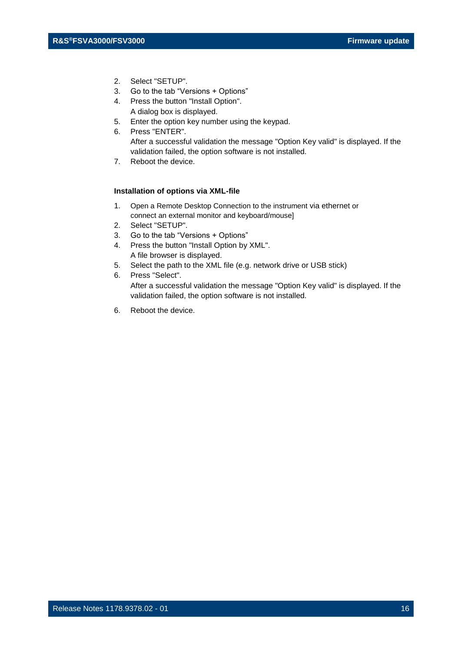- 2. Select "SETUP".
- 3. Go to the tab "Versions + Options"
- 4. Press the button "Install Option". A dialog box is displayed.
- 5. Enter the option key number using the keypad.
- 6. Press "ENTER". After a successful validation the message "Option Key valid" is displayed. If the validation failed, the option software is not installed.
- 7. Reboot the device.

#### **Installation of options via XML-file**

- 1. Open a Remote Desktop Connection to the instrument via ethernet or connect an external monitor and keyboard/mouse]
- 2. Select "SETUP".
- 3. Go to the tab "Versions + Options"
- 4. Press the button "Install Option by XML". A file browser is displayed.
- 5. Select the path to the XML file (e.g. network drive or USB stick)
- 6. Press "Select".

After a successful validation the message "Option Key valid" is displayed. If the validation failed, the option software is not installed.

6. Reboot the device.